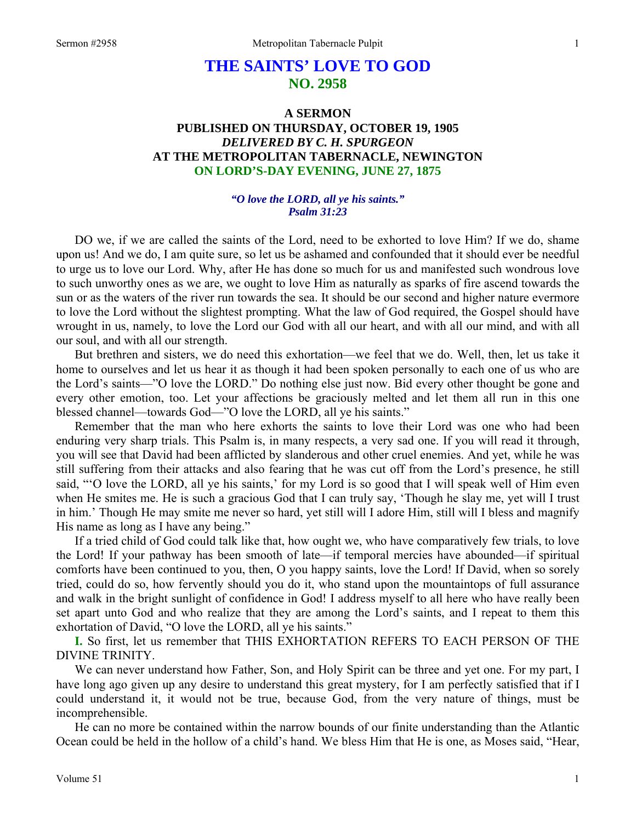# **THE SAINTS' LOVE TO GOD NO. 2958**

## **A SERMON PUBLISHED ON THURSDAY, OCTOBER 19, 1905**  *DELIVERED BY C. H. SPURGEON*  **AT THE METROPOLITAN TABERNACLE, NEWINGTON ON LORD'S-DAY EVENING, JUNE 27, 1875**

#### *"O love the LORD, all ye his saints." Psalm 31:23*

DO we, if we are called the saints of the Lord, need to be exhorted to love Him? If we do, shame upon us! And we do, I am quite sure, so let us be ashamed and confounded that it should ever be needful to urge us to love our Lord. Why, after He has done so much for us and manifested such wondrous love to such unworthy ones as we are, we ought to love Him as naturally as sparks of fire ascend towards the sun or as the waters of the river run towards the sea. It should be our second and higher nature evermore to love the Lord without the slightest prompting. What the law of God required, the Gospel should have wrought in us, namely, to love the Lord our God with all our heart, and with all our mind, and with all our soul, and with all our strength.

 But brethren and sisters, we do need this exhortation—we feel that we do. Well, then, let us take it home to ourselves and let us hear it as though it had been spoken personally to each one of us who are the Lord's saints—"O love the LORD." Do nothing else just now. Bid every other thought be gone and every other emotion, too. Let your affections be graciously melted and let them all run in this one blessed channel—towards God—"O love the LORD, all ye his saints."

 Remember that the man who here exhorts the saints to love their Lord was one who had been enduring very sharp trials. This Psalm is, in many respects, a very sad one. If you will read it through, you will see that David had been afflicted by slanderous and other cruel enemies. And yet, while he was still suffering from their attacks and also fearing that he was cut off from the Lord's presence, he still said, "'O love the LORD, all ye his saints,' for my Lord is so good that I will speak well of Him even when He smites me. He is such a gracious God that I can truly say, 'Though he slay me, yet will I trust in him.' Though He may smite me never so hard, yet still will I adore Him, still will I bless and magnify His name as long as I have any being."

 If a tried child of God could talk like that, how ought we, who have comparatively few trials, to love the Lord! If your pathway has been smooth of late—if temporal mercies have abounded—if spiritual comforts have been continued to you, then, O you happy saints, love the Lord! If David, when so sorely tried, could do so, how fervently should you do it, who stand upon the mountaintops of full assurance and walk in the bright sunlight of confidence in God! I address myself to all here who have really been set apart unto God and who realize that they are among the Lord's saints, and I repeat to them this exhortation of David, "O love the LORD, all ye his saints."

**I.** So first, let us remember that THIS EXHORTATION REFERS TO EACH PERSON OF THE DIVINE TRINITY.

 We can never understand how Father, Son, and Holy Spirit can be three and yet one. For my part, I have long ago given up any desire to understand this great mystery, for I am perfectly satisfied that if I could understand it, it would not be true, because God, from the very nature of things, must be incomprehensible.

 He can no more be contained within the narrow bounds of our finite understanding than the Atlantic Ocean could be held in the hollow of a child's hand. We bless Him that He is one, as Moses said, "Hear,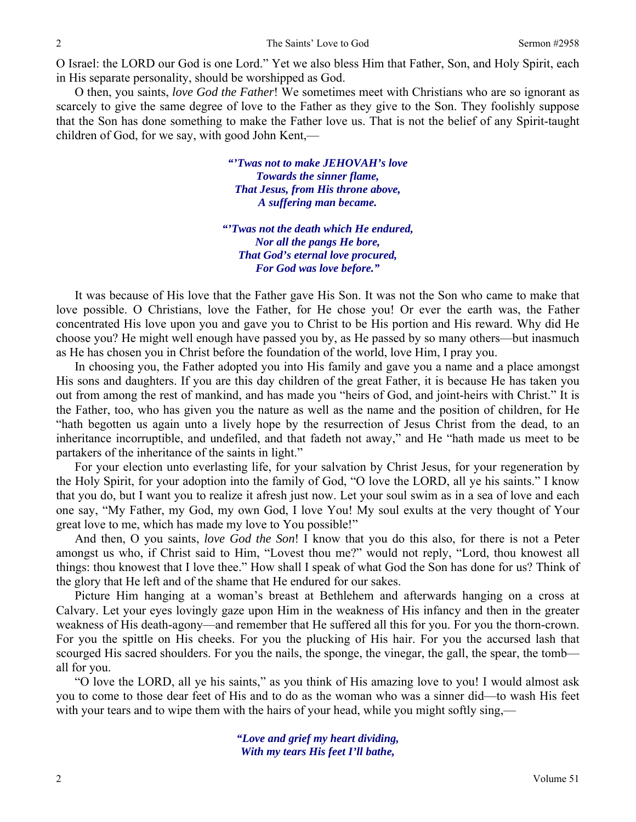O Israel: the LORD our God is one Lord." Yet we also bless Him that Father, Son, and Holy Spirit, each in His separate personality, should be worshipped as God.

 O then, you saints, *love God the Father*! We sometimes meet with Christians who are so ignorant as scarcely to give the same degree of love to the Father as they give to the Son. They foolishly suppose that the Son has done something to make the Father love us. That is not the belief of any Spirit-taught children of God, for we say, with good John Kent,—

> *"'Twas not to make JEHOVAH's love Towards the sinner flame, That Jesus, from His throne above, A suffering man became.*

*"'Twas not the death which He endured, Nor all the pangs He bore, That God's eternal love procured, For God was love before."* 

 It was because of His love that the Father gave His Son. It was not the Son who came to make that love possible. O Christians, love the Father, for He chose you! Or ever the earth was, the Father concentrated His love upon you and gave you to Christ to be His portion and His reward. Why did He choose you? He might well enough have passed you by, as He passed by so many others—but inasmuch as He has chosen you in Christ before the foundation of the world, love Him, I pray you.

 In choosing you, the Father adopted you into His family and gave you a name and a place amongst His sons and daughters. If you are this day children of the great Father, it is because He has taken you out from among the rest of mankind, and has made you "heirs of God, and joint-heirs with Christ." It is the Father, too, who has given you the nature as well as the name and the position of children, for He "hath begotten us again unto a lively hope by the resurrection of Jesus Christ from the dead, to an inheritance incorruptible, and undefiled, and that fadeth not away," and He "hath made us meet to be partakers of the inheritance of the saints in light."

 For your election unto everlasting life, for your salvation by Christ Jesus, for your regeneration by the Holy Spirit, for your adoption into the family of God, "O love the LORD, all ye his saints." I know that you do, but I want you to realize it afresh just now. Let your soul swim as in a sea of love and each one say, "My Father, my God, my own God, I love You! My soul exults at the very thought of Your great love to me, which has made my love to You possible!"

 And then, O you saints, *love God the Son*! I know that you do this also, for there is not a Peter amongst us who, if Christ said to Him, "Lovest thou me?" would not reply, "Lord, thou knowest all things: thou knowest that I love thee." How shall I speak of what God the Son has done for us? Think of the glory that He left and of the shame that He endured for our sakes.

 Picture Him hanging at a woman's breast at Bethlehem and afterwards hanging on a cross at Calvary. Let your eyes lovingly gaze upon Him in the weakness of His infancy and then in the greater weakness of His death-agony—and remember that He suffered all this for you. For you the thorn-crown. For you the spittle on His cheeks. For you the plucking of His hair. For you the accursed lash that scourged His sacred shoulders. For you the nails, the sponge, the vinegar, the gall, the spear, the tomb all for you.

 "O love the LORD, all ye his saints," as you think of His amazing love to you! I would almost ask you to come to those dear feet of His and to do as the woman who was a sinner did—to wash His feet with your tears and to wipe them with the hairs of your head, while you might softly sing,—

> *"Love and grief my heart dividing, With my tears His feet I'll bathe,*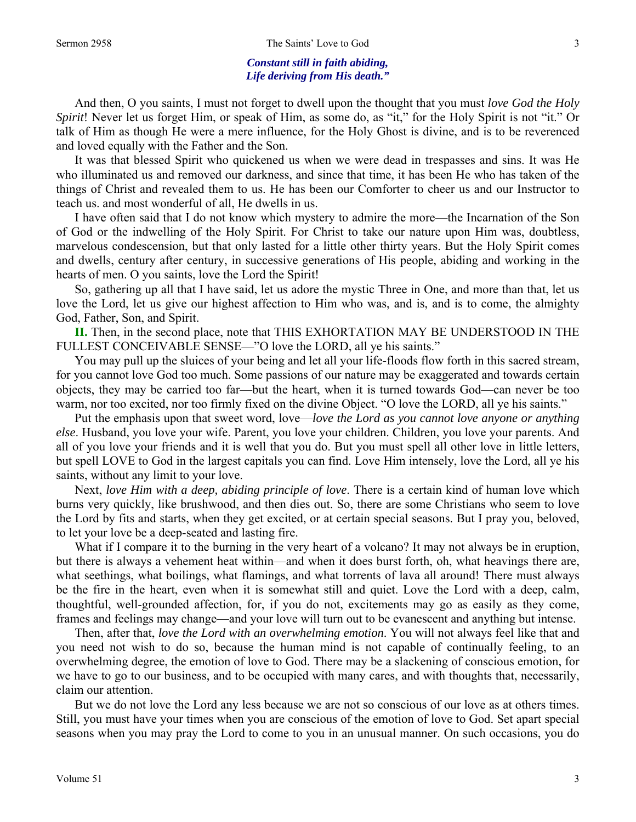## *Constant still in faith abiding, Life deriving from His death."*

And then, O you saints, I must not forget to dwell upon the thought that you must *love God the Holy Spirit*! Never let us forget Him, or speak of Him, as some do, as "it," for the Holy Spirit is not "it." Or talk of Him as though He were a mere influence, for the Holy Ghost is divine, and is to be reverenced and loved equally with the Father and the Son.

 It was that blessed Spirit who quickened us when we were dead in trespasses and sins. It was He who illuminated us and removed our darkness, and since that time, it has been He who has taken of the things of Christ and revealed them to us. He has been our Comforter to cheer us and our Instructor to teach us. and most wonderful of all, He dwells in us.

 I have often said that I do not know which mystery to admire the more—the Incarnation of the Son of God or the indwelling of the Holy Spirit. For Christ to take our nature upon Him was, doubtless, marvelous condescension, but that only lasted for a little other thirty years. But the Holy Spirit comes and dwells, century after century, in successive generations of His people, abiding and working in the hearts of men. O you saints, love the Lord the Spirit!

 So, gathering up all that I have said, let us adore the mystic Three in One, and more than that, let us love the Lord, let us give our highest affection to Him who was, and is, and is to come, the almighty God, Father, Son, and Spirit.

**II.** Then, in the second place, note that THIS EXHORTATION MAY BE UNDERSTOOD IN THE FULLEST CONCEIVABLE SENSE—"O love the LORD, all ye his saints."

 You may pull up the sluices of your being and let all your life-floods flow forth in this sacred stream, for you cannot love God too much. Some passions of our nature may be exaggerated and towards certain objects, they may be carried too far—but the heart, when it is turned towards God—can never be too warm, nor too excited, nor too firmly fixed on the divine Object. "O love the LORD, all ye his saints."

 Put the emphasis upon that sweet word, love—*love the Lord as you cannot love anyone or anything else*. Husband, you love your wife. Parent, you love your children. Children, you love your parents. And all of you love your friends and it is well that you do. But you must spell all other love in little letters, but spell LOVE to God in the largest capitals you can find. Love Him intensely, love the Lord, all ye his saints, without any limit to your love.

 Next, *love Him with a deep, abiding principle of love*. There is a certain kind of human love which burns very quickly, like brushwood, and then dies out. So, there are some Christians who seem to love the Lord by fits and starts, when they get excited, or at certain special seasons. But I pray you, beloved, to let your love be a deep-seated and lasting fire.

 What if I compare it to the burning in the very heart of a volcano? It may not always be in eruption, but there is always a vehement heat within—and when it does burst forth, oh, what heavings there are, what seethings, what boilings, what flamings, and what torrents of lava all around! There must always be the fire in the heart, even when it is somewhat still and quiet. Love the Lord with a deep, calm, thoughtful, well-grounded affection, for, if you do not, excitements may go as easily as they come, frames and feelings may change—and your love will turn out to be evanescent and anything but intense.

 Then, after that, *love the Lord with an overwhelming emotion*. You will not always feel like that and you need not wish to do so, because the human mind is not capable of continually feeling, to an overwhelming degree, the emotion of love to God. There may be a slackening of conscious emotion, for we have to go to our business, and to be occupied with many cares, and with thoughts that, necessarily, claim our attention.

 But we do not love the Lord any less because we are not so conscious of our love as at others times. Still, you must have your times when you are conscious of the emotion of love to God. Set apart special seasons when you may pray the Lord to come to you in an unusual manner. On such occasions, you do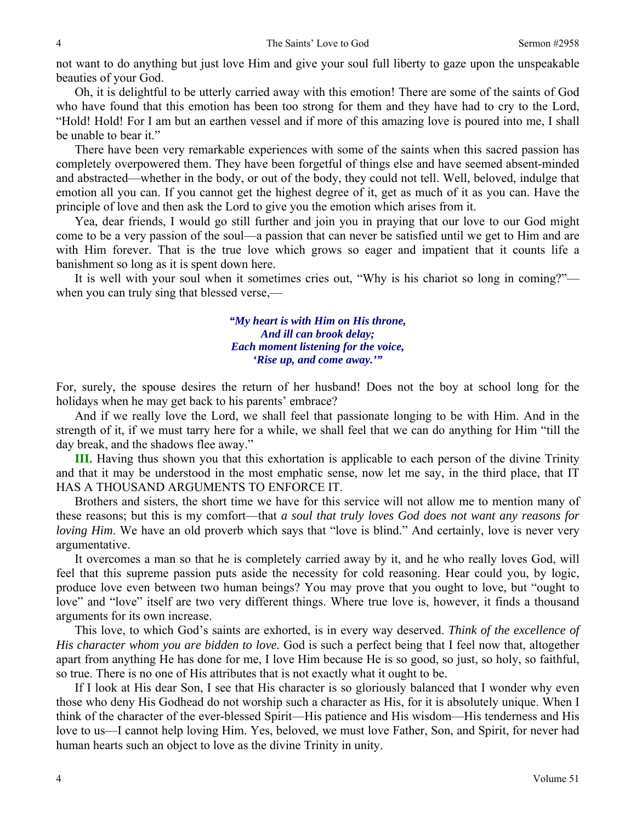not want to do anything but just love Him and give your soul full liberty to gaze upon the unspeakable beauties of your God.

 Oh, it is delightful to be utterly carried away with this emotion! There are some of the saints of God who have found that this emotion has been too strong for them and they have had to cry to the Lord, "Hold! Hold! For I am but an earthen vessel and if more of this amazing love is poured into me, I shall be unable to bear it."

 There have been very remarkable experiences with some of the saints when this sacred passion has completely overpowered them. They have been forgetful of things else and have seemed absent-minded and abstracted—whether in the body, or out of the body, they could not tell. Well, beloved, indulge that emotion all you can. If you cannot get the highest degree of it, get as much of it as you can. Have the principle of love and then ask the Lord to give you the emotion which arises from it.

 Yea, dear friends, I would go still further and join you in praying that our love to our God might come to be a very passion of the soul—a passion that can never be satisfied until we get to Him and are with Him forever. That is the true love which grows so eager and impatient that it counts life a banishment so long as it is spent down here.

 It is well with your soul when it sometimes cries out, "Why is his chariot so long in coming?" when you can truly sing that blessed verse,—

> *"My heart is with Him on His throne, And ill can brook delay; Each moment listening for the voice, 'Rise up, and come away.'"*

For, surely, the spouse desires the return of her husband! Does not the boy at school long for the holidays when he may get back to his parents' embrace?

 And if we really love the Lord, we shall feel that passionate longing to be with Him. And in the strength of it, if we must tarry here for a while, we shall feel that we can do anything for Him "till the day break, and the shadows flee away."

**III.** Having thus shown you that this exhortation is applicable to each person of the divine Trinity and that it may be understood in the most emphatic sense, now let me say, in the third place, that IT HAS A THOUSAND ARGUMENTS TO ENFORCE IT.

 Brothers and sisters, the short time we have for this service will not allow me to mention many of these reasons; but this is my comfort—that *a soul that truly loves God does not want any reasons for loving Him*. We have an old proverb which says that "love is blind." And certainly, love is never very argumentative.

 It overcomes a man so that he is completely carried away by it, and he who really loves God, will feel that this supreme passion puts aside the necessity for cold reasoning. Hear could you, by logic, produce love even between two human beings? You may prove that you ought to love, but "ought to love" and "love" itself are two very different things. Where true love is, however, it finds a thousand arguments for its own increase.

 This love, to which God's saints are exhorted, is in every way deserved. *Think of the excellence of His character whom you are bidden to love.* God is such a perfect being that I feel now that, altogether apart from anything He has done for me, I love Him because He is so good, so just, so holy, so faithful, so true. There is no one of His attributes that is not exactly what it ought to be.

 If I look at His dear Son, I see that His character is so gloriously balanced that I wonder why even those who deny His Godhead do not worship such a character as His, for it is absolutely unique. When I think of the character of the ever-blessed Spirit—His patience and His wisdom—His tenderness and His love to us—I cannot help loving Him. Yes, beloved, we must love Father, Son, and Spirit, for never had human hearts such an object to love as the divine Trinity in unity.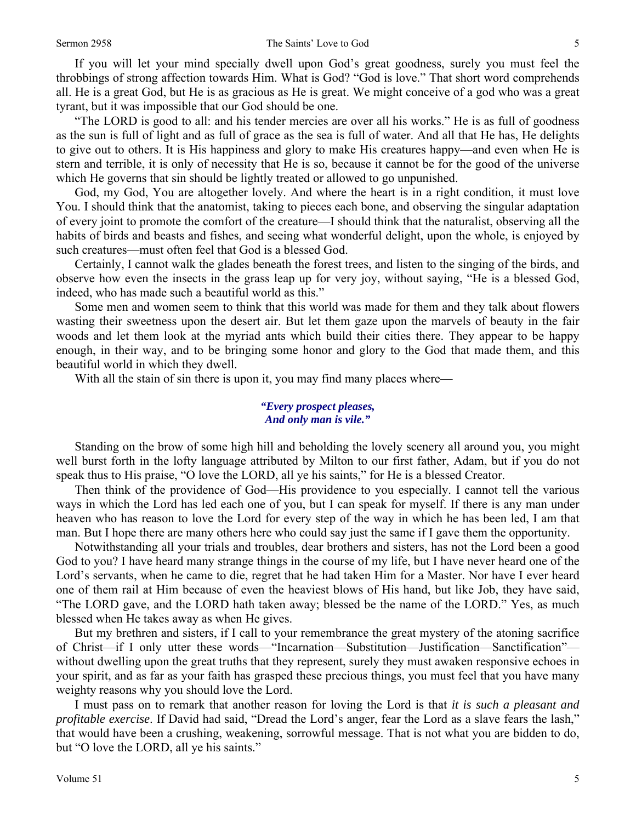If you will let your mind specially dwell upon God's great goodness, surely you must feel the throbbings of strong affection towards Him. What is God? "God is love." That short word comprehends all. He is a great God, but He is as gracious as He is great. We might conceive of a god who was a great tyrant, but it was impossible that our God should be one.

 "The LORD is good to all: and his tender mercies are over all his works." He is as full of goodness as the sun is full of light and as full of grace as the sea is full of water. And all that He has, He delights to give out to others. It is His happiness and glory to make His creatures happy—and even when He is stern and terrible, it is only of necessity that He is so, because it cannot be for the good of the universe which He governs that sin should be lightly treated or allowed to go unpunished.

 God, my God, You are altogether lovely. And where the heart is in a right condition, it must love You. I should think that the anatomist, taking to pieces each bone, and observing the singular adaptation of every joint to promote the comfort of the creature—I should think that the naturalist, observing all the habits of birds and beasts and fishes, and seeing what wonderful delight, upon the whole, is enjoyed by such creatures—must often feel that God is a blessed God.

 Certainly, I cannot walk the glades beneath the forest trees, and listen to the singing of the birds, and observe how even the insects in the grass leap up for very joy, without saying, "He is a blessed God, indeed, who has made such a beautiful world as this."

 Some men and women seem to think that this world was made for them and they talk about flowers wasting their sweetness upon the desert air. But let them gaze upon the marvels of beauty in the fair woods and let them look at the myriad ants which build their cities there. They appear to be happy enough, in their way, and to be bringing some honor and glory to the God that made them, and this beautiful world in which they dwell.

With all the stain of sin there is upon it, you may find many places where—

### *"Every prospect pleases, And only man is vile."*

 Standing on the brow of some high hill and beholding the lovely scenery all around you, you might well burst forth in the lofty language attributed by Milton to our first father, Adam, but if you do not speak thus to His praise, "O love the LORD, all ye his saints," for He is a blessed Creator.

 Then think of the providence of God—His providence to you especially. I cannot tell the various ways in which the Lord has led each one of you, but I can speak for myself. If there is any man under heaven who has reason to love the Lord for every step of the way in which he has been led, I am that man. But I hope there are many others here who could say just the same if I gave them the opportunity.

 Notwithstanding all your trials and troubles, dear brothers and sisters, has not the Lord been a good God to you? I have heard many strange things in the course of my life, but I have never heard one of the Lord's servants, when he came to die, regret that he had taken Him for a Master. Nor have I ever heard one of them rail at Him because of even the heaviest blows of His hand, but like Job, they have said, "The LORD gave, and the LORD hath taken away; blessed be the name of the LORD." Yes, as much blessed when He takes away as when He gives.

 But my brethren and sisters, if I call to your remembrance the great mystery of the atoning sacrifice of Christ—if I only utter these words—"Incarnation—Substitution—Justification—Sanctification" without dwelling upon the great truths that they represent, surely they must awaken responsive echoes in your spirit, and as far as your faith has grasped these precious things, you must feel that you have many weighty reasons why you should love the Lord.

 I must pass on to remark that another reason for loving the Lord is that *it is such a pleasant and profitable exercise*. If David had said, "Dread the Lord's anger, fear the Lord as a slave fears the lash," that would have been a crushing, weakening, sorrowful message. That is not what you are bidden to do, but "O love the LORD, all ye his saints."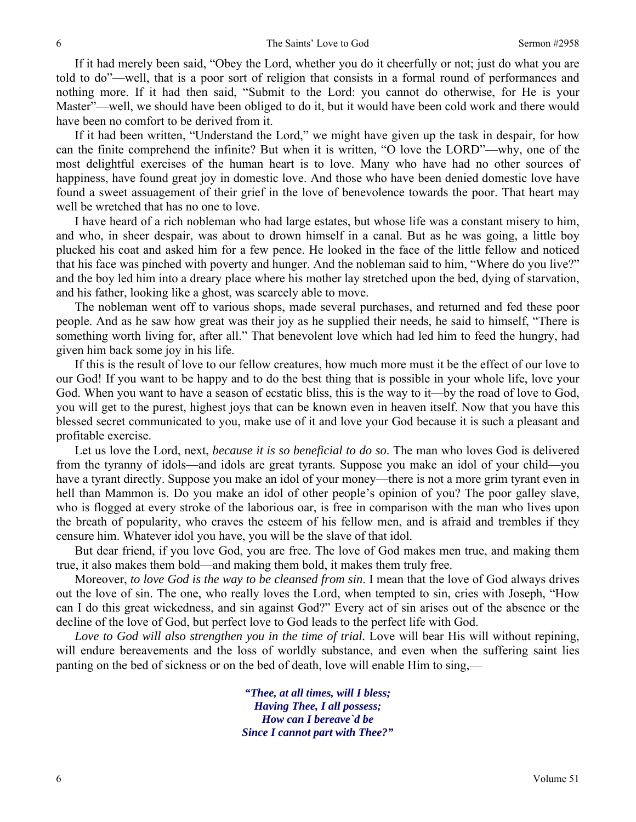If it had merely been said, "Obey the Lord, whether you do it cheerfully or not; just do what you are told to do"—well, that is a poor sort of religion that consists in a formal round of performances and nothing more. If it had then said, "Submit to the Lord: you cannot do otherwise, for He is your Master"—well, we should have been obliged to do it, but it would have been cold work and there would have been no comfort to be derived from it.

 If it had been written, "Understand the Lord," we might have given up the task in despair, for how can the finite comprehend the infinite? But when it is written, "O love the LORD"—why, one of the most delightful exercises of the human heart is to love. Many who have had no other sources of happiness, have found great joy in domestic love. And those who have been denied domestic love have found a sweet assuagement of their grief in the love of benevolence towards the poor. That heart may well be wretched that has no one to love.

 I have heard of a rich nobleman who had large estates, but whose life was a constant misery to him, and who, in sheer despair, was about to drown himself in a canal. But as he was going, a little boy plucked his coat and asked him for a few pence. He looked in the face of the little fellow and noticed that his face was pinched with poverty and hunger. And the nobleman said to him, "Where do you live?" and the boy led him into a dreary place where his mother lay stretched upon the bed, dying of starvation, and his father, looking like a ghost, was scarcely able to move.

 The nobleman went off to various shops, made several purchases, and returned and fed these poor people. And as he saw how great was their joy as he supplied their needs, he said to himself, "There is something worth living for, after all." That benevolent love which had led him to feed the hungry, had given him back some joy in his life.

 If this is the result of love to our fellow creatures, how much more must it be the effect of our love to our God! If you want to be happy and to do the best thing that is possible in your whole life, love your God. When you want to have a season of ecstatic bliss, this is the way to it—by the road of love to God, you will get to the purest, highest joys that can be known even in heaven itself. Now that you have this blessed secret communicated to you, make use of it and love your God because it is such a pleasant and profitable exercise.

 Let us love the Lord, next, *because it is so beneficial to do so*. The man who loves God is delivered from the tyranny of idols—and idols are great tyrants. Suppose you make an idol of your child—you have a tyrant directly. Suppose you make an idol of your money—there is not a more grim tyrant even in hell than Mammon is. Do you make an idol of other people's opinion of you? The poor galley slave, who is flogged at every stroke of the laborious oar, is free in comparison with the man who lives upon the breath of popularity, who craves the esteem of his fellow men, and is afraid and trembles if they censure him. Whatever idol you have, you will be the slave of that idol.

 But dear friend, if you love God, you are free. The love of God makes men true, and making them true, it also makes them bold—and making them bold, it makes them truly free.

 Moreover, *to love God is the way to be cleansed from sin*. I mean that the love of God always drives out the love of sin. The one, who really loves the Lord, when tempted to sin, cries with Joseph, "How can I do this great wickedness, and sin against God?" Every act of sin arises out of the absence or the decline of the love of God, but perfect love to God leads to the perfect life with God.

Love to God will also strengthen you in the time of trial. Love will bear His will without repining, will endure bereavements and the loss of worldly substance, and even when the suffering saint lies panting on the bed of sickness or on the bed of death, love will enable Him to sing,—

> *"Thee, at all times, will I bless; Having Thee, I all possess; How can I bereave`d be Since I cannot part with Thee?"*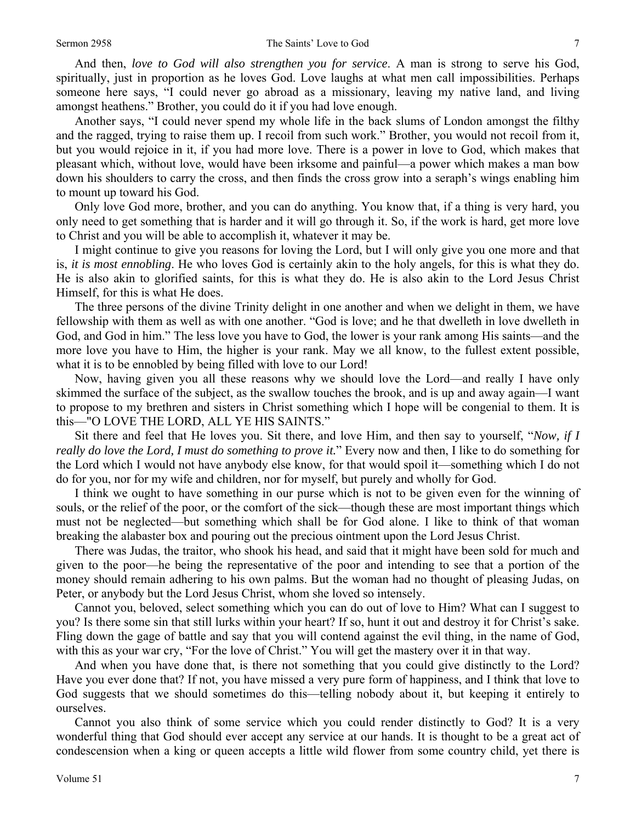And then, *love to God will also strengthen you for service*. A man is strong to serve his God, spiritually, just in proportion as he loves God. Love laughs at what men call impossibilities. Perhaps someone here says, "I could never go abroad as a missionary, leaving my native land, and living amongst heathens." Brother, you could do it if you had love enough.

 Another says, "I could never spend my whole life in the back slums of London amongst the filthy and the ragged, trying to raise them up. I recoil from such work." Brother, you would not recoil from it, but you would rejoice in it, if you had more love. There is a power in love to God, which makes that pleasant which, without love, would have been irksome and painful—a power which makes a man bow down his shoulders to carry the cross, and then finds the cross grow into a seraph's wings enabling him to mount up toward his God.

 Only love God more, brother, and you can do anything. You know that, if a thing is very hard, you only need to get something that is harder and it will go through it. So, if the work is hard, get more love to Christ and you will be able to accomplish it, whatever it may be.

 I might continue to give you reasons for loving the Lord, but I will only give you one more and that is, *it is most ennobling*. He who loves God is certainly akin to the holy angels, for this is what they do. He is also akin to glorified saints, for this is what they do. He is also akin to the Lord Jesus Christ Himself, for this is what He does.

 The three persons of the divine Trinity delight in one another and when we delight in them, we have fellowship with them as well as with one another. "God is love; and he that dwelleth in love dwelleth in God, and God in him." The less love you have to God, the lower is your rank among His saints—and the more love you have to Him, the higher is your rank. May we all know, to the fullest extent possible, what it is to be ennobled by being filled with love to our Lord!

 Now, having given you all these reasons why we should love the Lord—and really I have only skimmed the surface of the subject, as the swallow touches the brook, and is up and away again—I want to propose to my brethren and sisters in Christ something which I hope will be congenial to them. It is this—"O LOVE THE LORD, ALL YE HIS SAINTS."

 Sit there and feel that He loves you. Sit there, and love Him, and then say to yourself, "*Now, if I really do love the Lord, I must do something to prove it.*" Every now and then, I like to do something for the Lord which I would not have anybody else know, for that would spoil it—something which I do not do for you, nor for my wife and children, nor for myself, but purely and wholly for God.

 I think we ought to have something in our purse which is not to be given even for the winning of souls, or the relief of the poor, or the comfort of the sick—though these are most important things which must not be neglected—but something which shall be for God alone. I like to think of that woman breaking the alabaster box and pouring out the precious ointment upon the Lord Jesus Christ.

 There was Judas, the traitor, who shook his head, and said that it might have been sold for much and given to the poor—he being the representative of the poor and intending to see that a portion of the money should remain adhering to his own palms. But the woman had no thought of pleasing Judas, on Peter, or anybody but the Lord Jesus Christ, whom she loved so intensely.

 Cannot you, beloved, select something which you can do out of love to Him? What can I suggest to you? Is there some sin that still lurks within your heart? If so, hunt it out and destroy it for Christ's sake. Fling down the gage of battle and say that you will contend against the evil thing, in the name of God, with this as your war cry, "For the love of Christ." You will get the mastery over it in that way.

 And when you have done that, is there not something that you could give distinctly to the Lord? Have you ever done that? If not, you have missed a very pure form of happiness, and I think that love to God suggests that we should sometimes do this—telling nobody about it, but keeping it entirely to ourselves.

 Cannot you also think of some service which you could render distinctly to God? It is a very wonderful thing that God should ever accept any service at our hands. It is thought to be a great act of condescension when a king or queen accepts a little wild flower from some country child, yet there is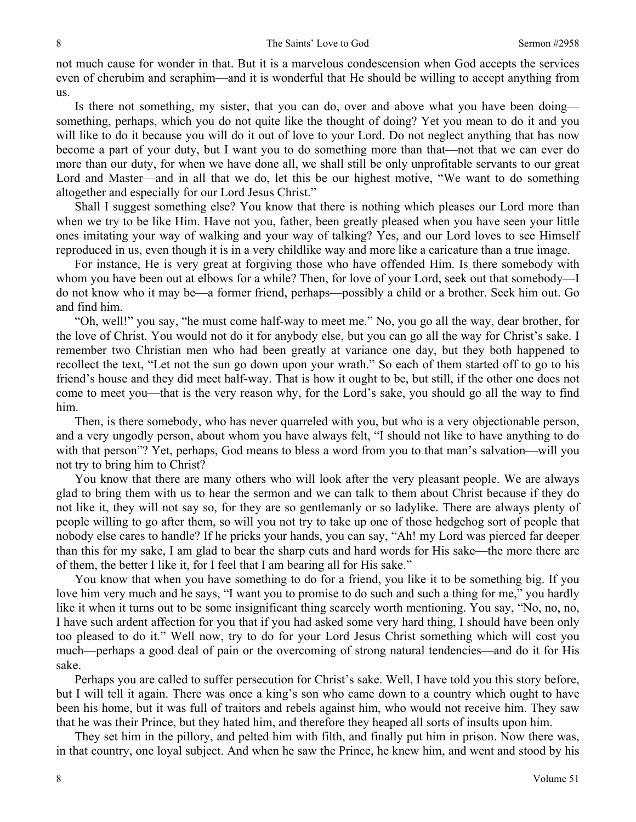not much cause for wonder in that. But it is a marvelous condescension when God accepts the services even of cherubim and seraphim—and it is wonderful that He should be willing to accept anything from us.

 Is there not something, my sister, that you can do, over and above what you have been doing something, perhaps, which you do not quite like the thought of doing? Yet you mean to do it and you will like to do it because you will do it out of love to your Lord. Do not neglect anything that has now become a part of your duty, but I want you to do something more than that—not that we can ever do more than our duty, for when we have done all, we shall still be only unprofitable servants to our great Lord and Master—and in all that we do, let this be our highest motive, "We want to do something altogether and especially for our Lord Jesus Christ."

 Shall I suggest something else? You know that there is nothing which pleases our Lord more than when we try to be like Him. Have not you, father, been greatly pleased when you have seen your little ones imitating your way of walking and your way of talking? Yes, and our Lord loves to see Himself reproduced in us, even though it is in a very childlike way and more like a caricature than a true image.

 For instance, He is very great at forgiving those who have offended Him. Is there somebody with whom you have been out at elbows for a while? Then, for love of your Lord, seek out that somebody—I do not know who it may be—a former friend, perhaps—possibly a child or a brother. Seek him out. Go and find him.

 "Oh, well!" you say, "he must come half-way to meet me." No, you go all the way, dear brother, for the love of Christ. You would not do it for anybody else, but you can go all the way for Christ's sake. I remember two Christian men who had been greatly at variance one day, but they both happened to recollect the text, "Let not the sun go down upon your wrath." So each of them started off to go to his friend's house and they did meet half-way. That is how it ought to be, but still, if the other one does not come to meet you—that is the very reason why, for the Lord's sake, you should go all the way to find him.

 Then, is there somebody, who has never quarreled with you, but who is a very objectionable person, and a very ungodly person, about whom you have always felt, "I should not like to have anything to do with that person"? Yet, perhaps, God means to bless a word from you to that man's salvation—will you not try to bring him to Christ?

 You know that there are many others who will look after the very pleasant people. We are always glad to bring them with us to hear the sermon and we can talk to them about Christ because if they do not like it, they will not say so, for they are so gentlemanly or so ladylike. There are always plenty of people willing to go after them, so will you not try to take up one of those hedgehog sort of people that nobody else cares to handle? If he pricks your hands, you can say, "Ah! my Lord was pierced far deeper than this for my sake, I am glad to bear the sharp cuts and hard words for His sake—the more there are of them, the better I like it, for I feel that I am bearing all for His sake."

 You know that when you have something to do for a friend, you like it to be something big. If you love him very much and he says, "I want you to promise to do such and such a thing for me," you hardly like it when it turns out to be some insignificant thing scarcely worth mentioning. You say, "No, no, no, I have such ardent affection for you that if you had asked some very hard thing, I should have been only too pleased to do it." Well now, try to do for your Lord Jesus Christ something which will cost you much—perhaps a good deal of pain or the overcoming of strong natural tendencies—and do it for His sake.

 Perhaps you are called to suffer persecution for Christ's sake. Well, I have told you this story before, but I will tell it again. There was once a king's son who came down to a country which ought to have been his home, but it was full of traitors and rebels against him, who would not receive him. They saw that he was their Prince, but they hated him, and therefore they heaped all sorts of insults upon him.

 They set him in the pillory, and pelted him with filth, and finally put him in prison. Now there was, in that country, one loyal subject. And when he saw the Prince, he knew him, and went and stood by his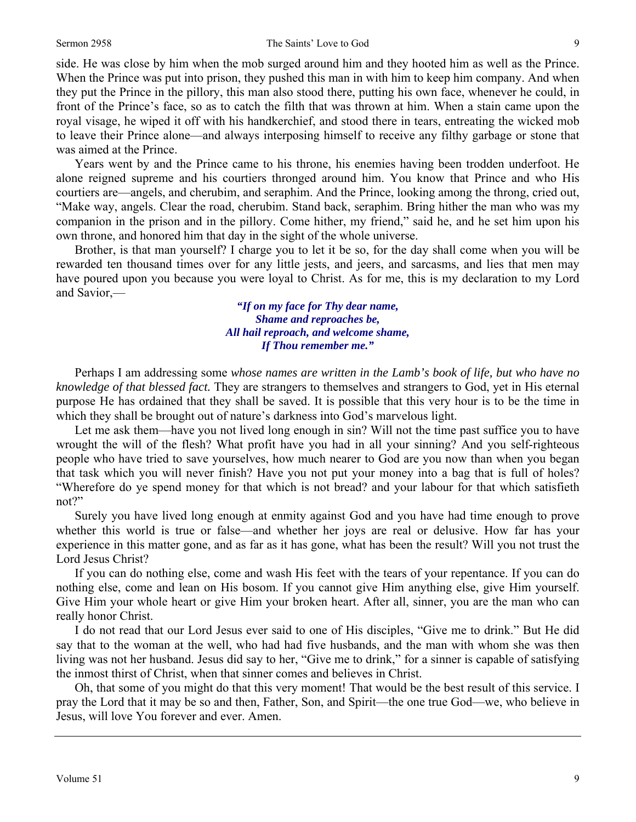#### Sermon 2958 Sermon 2958 Sermon 2958 Sermon 2958 Sermon 2958 Sermon 2958 Sermon 2958

side. He was close by him when the mob surged around him and they hooted him as well as the Prince. When the Prince was put into prison, they pushed this man in with him to keep him company. And when they put the Prince in the pillory, this man also stood there, putting his own face, whenever he could, in front of the Prince's face, so as to catch the filth that was thrown at him. When a stain came upon the royal visage, he wiped it off with his handkerchief, and stood there in tears, entreating the wicked mob to leave their Prince alone—and always interposing himself to receive any filthy garbage or stone that was aimed at the Prince.

 Years went by and the Prince came to his throne, his enemies having been trodden underfoot. He alone reigned supreme and his courtiers thronged around him. You know that Prince and who His courtiers are—angels, and cherubim, and seraphim. And the Prince, looking among the throng, cried out, "Make way, angels. Clear the road, cherubim. Stand back, seraphim. Bring hither the man who was my companion in the prison and in the pillory. Come hither, my friend," said he, and he set him upon his own throne, and honored him that day in the sight of the whole universe.

 Brother, is that man yourself? I charge you to let it be so, for the day shall come when you will be rewarded ten thousand times over for any little jests, and jeers, and sarcasms, and lies that men may have poured upon you because you were loyal to Christ. As for me, this is my declaration to my Lord and Savior,—

> *"If on my face for Thy dear name, Shame and reproaches be, All hail reproach, and welcome shame, If Thou remember me."*

Perhaps I am addressing some *whose names are written in the Lamb's book of life, but who have no knowledge of that blessed fact.* They are strangers to themselves and strangers to God, yet in His eternal purpose He has ordained that they shall be saved. It is possible that this very hour is to be the time in which they shall be brought out of nature's darkness into God's marvelous light.

 Let me ask them—have you not lived long enough in sin? Will not the time past suffice you to have wrought the will of the flesh? What profit have you had in all your sinning? And you self-righteous people who have tried to save yourselves, how much nearer to God are you now than when you began that task which you will never finish? Have you not put your money into a bag that is full of holes? "Wherefore do ye spend money for that which is not bread? and your labour for that which satisfieth not?"

 Surely you have lived long enough at enmity against God and you have had time enough to prove whether this world is true or false—and whether her joys are real or delusive. How far has your experience in this matter gone, and as far as it has gone, what has been the result? Will you not trust the Lord Jesus Christ?

 If you can do nothing else, come and wash His feet with the tears of your repentance. If you can do nothing else, come and lean on His bosom. If you cannot give Him anything else, give Him yourself. Give Him your whole heart or give Him your broken heart. After all, sinner, you are the man who can really honor Christ.

 I do not read that our Lord Jesus ever said to one of His disciples, "Give me to drink." But He did say that to the woman at the well, who had had five husbands, and the man with whom she was then living was not her husband. Jesus did say to her, "Give me to drink," for a sinner is capable of satisfying the inmost thirst of Christ, when that sinner comes and believes in Christ.

 Oh, that some of you might do that this very moment! That would be the best result of this service. I pray the Lord that it may be so and then, Father, Son, and Spirit—the one true God—we, who believe in Jesus, will love You forever and ever. Amen.